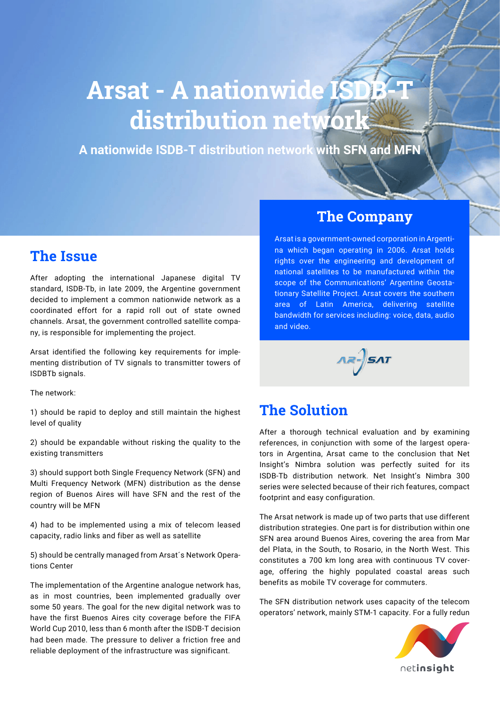# **Arsat - A nationwide IS distribution network**

**A nationwide ISDB-T distribution network with SFN and MFN**

### **The Issue**

After adopting the international Japanese digital TV standard, ISDB-Tb, in late 2009, the Argentine government decided to implement a common nationwide network as a coordinated effort for a rapid roll out of state owned channels. Arsat, the government controlled satellite company, is responsible for implementing the project.

Arsat identified the following key requirements for implementing distribution of TV signals to transmitter towers of ISDBTb signals.

The network:

1) should be rapid to deploy and still maintain the highest level of quality

2) should be expandable without risking the quality to the existing transmitters

3) should support both Single Frequency Network (SFN) and Multi Frequency Network (MFN) distribution as the dense region of Buenos Aires will have SFN and the rest of the country will be MFN

4) had to be implemented using a mix of telecom leased capacity, radio links and fiber as well as satellite

5) should be centrally managed from Arsat´s Network Operations Center

The implementation of the Argentine analogue network has, as in most countries, been implemented gradually over some 50 years. The goal for the new digital network was to have the first Buenos Aires city coverage before the FIFA World Cup 2010, less than 6 month after the ISDB-T decision had been made. The pressure to deliver a friction free and reliable deployment of the infrastructure was significant.

#### **The Company**

Arsat is a government-owned corporation in Argentina which began operating in 2006. Arsat holds rights over the engineering and development of national satellites to be manufactured within the scope of the Communications' Argentine Geostationary Satellite Project. Arsat covers the southern area of Latin America, delivering satellite bandwidth for services including: voice, data, audio and video.



#### **The Solution**

After a thorough technical evaluation and by examining references, in conjunction with some of the largest operators in Argentina, Arsat came to the conclusion that Net Insight's Nimbra solution was perfectly suited for its ISDB-Tb distribution network. Net Insight's Nimbra 300 series were selected because of their rich features, compact footprint and easy configuration.

The Arsat network is made up of two parts that use different distribution strategies. One part is for distribution within one SFN area around Buenos Aires, covering the area from Mar del Plata, in the South, to Rosario, in the North West. This constitutes a 700 km long area with continuous TV coverage, offering the highly populated coastal areas such benefits as mobile TV coverage for commuters.

The SFN distribution network uses capacity of the telecom operators' network, mainly STM-1 capacity. For a fully redun